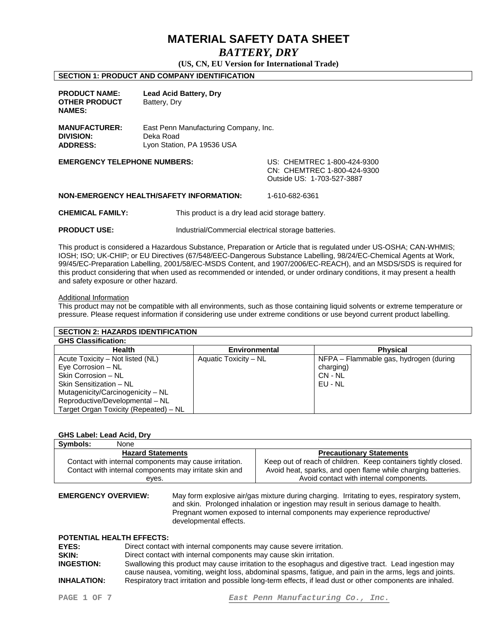## *BATTERY, DRY*

**(US, CN, EU Version for International Trade)** 

## **SECTION 1: PRODUCT AND COMPANY IDENTIFICATION**

| <b>PRODUCT NAME:</b><br><b>OTHER PRODUCT</b><br><b>NAMES:</b> | <b>Lead Acid Battery, Dry</b><br>Battery, Dry                                    |                                                                                          |
|---------------------------------------------------------------|----------------------------------------------------------------------------------|------------------------------------------------------------------------------------------|
| <b>MANUFACTURER:</b><br><b>DIVISION:</b><br><b>ADDRESS:</b>   | East Penn Manufacturing Company, Inc.<br>Deka Road<br>Lyon Station, PA 19536 USA |                                                                                          |
| <b>EMERGENCY TELEPHONE NUMBERS:</b>                           |                                                                                  | US: CHEMTREC 1-800-424-9300<br>CN: CHEMTREC 1-800-424-9300<br>Outside US: 1-703-527-3887 |
|                                                               | <b>NON-EMERGENCY HEALTH/SAFETY INFORMATION:</b>                                  | 1-610-682-6361                                                                           |
| <b>CHEMICAL FAMILY:</b>                                       | This product is a dry lead acid storage battery.                                 |                                                                                          |

**PRODUCT USE:** Industrial/Commercial electrical storage batteries.

This product is considered a Hazardous Substance, Preparation or Article that is regulated under US-OSHA; CAN-WHMIS; IOSH; ISO; UK-CHIP; or EU Directives (67/548/EEC-Dangerous Substance Labelling, 98/24/EC-Chemical Agents at Work, 99/45/EC-Preparation Labelling, 2001/58/EC-MSDS Content, and 1907/2006/EC-REACH), and an MSDS/SDS is required for this product considering that when used as recommended or intended, or under ordinary conditions, it may present a health and safety exposure or other hazard.

## Additional Information

This product may not be compatible with all environments, such as those containing liquid solvents or extreme temperature or pressure. Please request information if considering use under extreme conditions or use beyond current product labelling.

| <b>SECTION 2: HAZARDS IDENTIFICATION</b> |                       |                                        |  |
|------------------------------------------|-----------------------|----------------------------------------|--|
| <b>GHS Classification:</b>               |                       |                                        |  |
| <b>Health</b>                            | Environmental         | <b>Physical</b>                        |  |
| Acute Toxicity – Not listed (NL)         | Aquatic Toxicity - NL | NFPA - Flammable gas, hydrogen (during |  |
| Eye Corrosion - NL                       |                       | charging)                              |  |
| Skin Corrosion - NL                      |                       | CN - NL                                |  |
| Skin Sensitization - NL                  |                       | EU - NL                                |  |
| Mutagenicity/Carcinogenicity - NL        |                       |                                        |  |
| Reproductive/Developmental - NL          |                       |                                        |  |
| Target Organ Toxicity (Repeated) - NL    |                       |                                        |  |

## **GHS Label: Lead Acid, Dry**

| Symbols:<br>None                                       |                                                                |
|--------------------------------------------------------|----------------------------------------------------------------|
| <b>Hazard Statements</b>                               | <b>Precautionary Statements</b>                                |
| Contact with internal components may cause irritation. | Keep out of reach of children. Keep containers tightly closed. |
| Contact with internal components may irritate skin and | Avoid heat, sparks, and open flame while charging batteries.   |
| eves.                                                  | Avoid contact with internal components.                        |
|                                                        |                                                                |

**EMERGENCY OVERVIEW:** May form explosive air/gas mixture during charging. Irritating to eyes, respiratory system, and skin. Prolonged inhalation or ingestion may result in serious damage to health. Pregnant women exposed to internal components may experience reproductive/ developmental effects.

## **POTENTIAL HEALTH EFFECTS:**

| EYES:              | Direct contact with internal components may cause severe irritation.                                                                                                                                            |
|--------------------|-----------------------------------------------------------------------------------------------------------------------------------------------------------------------------------------------------------------|
| SKIN:              | Direct contact with internal components may cause skin irritation.                                                                                                                                              |
| <b>INGESTION:</b>  | Swallowing this product may cause irritation to the esophagus and digestive tract. Lead ingestion may<br>cause nausea, vomiting, weight loss, abdominal spasms, fatigue, and pain in the arms, legs and joints. |
| <b>INHALATION:</b> | Respiratory tract irritation and possible long-term effects, if lead dust or other components are inhaled.                                                                                                      |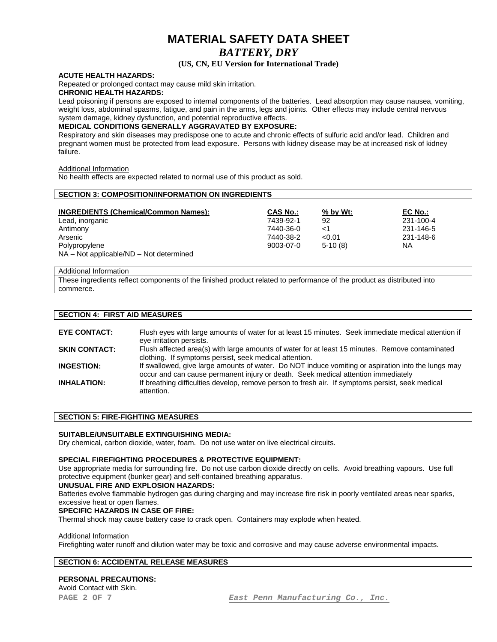## **MATERIAL SAFETY DATA SHEET**  *BATTERY, DRY*

## **(US, CN, EU Version for International Trade)**

## **ACUTE HEALTH HAZARDS:**

Repeated or prolonged contact may cause mild skin irritation.

## **CHRONIC HEALTH HAZARDS:**

Lead poisoning if persons are exposed to internal components of the batteries. Lead absorption may cause nausea, vomiting, weight loss, abdominal spasms, fatigue, and pain in the arms, legs and joints. Other effects may include central nervous system damage, kidney dysfunction, and potential reproductive effects.

## **MEDICAL CONDITIONS GENERALLY AGGRAVATED BY EXPOSURE:**

Respiratory and skin diseases may predispose one to acute and chronic effects of sulfuric acid and/or lead. Children and pregnant women must be protected from lead exposure. Persons with kidney disease may be at increased risk of kidney failure.

## Additional Information

No health effects are expected related to normal use of this product as sold.

| <b>SECTION 3: COMPOSITION/INFORMATION ON INGREDIENTS</b>      |                 |            |           |  |
|---------------------------------------------------------------|-----------------|------------|-----------|--|
| <b>INGREDIENTS (Chemical/Common Names):</b>                   | <b>CAS No.:</b> | $%$ by Wt: | EC No.:   |  |
| Lead, inorganic                                               | 7439-92-1       | 92         | 231-100-4 |  |
| Antimony                                                      | 7440-36-0       | $<$ 1      | 231-146-5 |  |
| Arsenic                                                       | 7440-38-2       | < 0.01     | 231-148-6 |  |
| Polypropylene<br>$NA - Not$ applicable/ $ND - Not$ determined | 9003-07-0       | $5-10(8)$  | ΝA        |  |

#### Additional Information

These ingredients reflect components of the finished product related to performance of the product as distributed into commerce.

## **SECTION 4: FIRST AID MEASURES**

| <b>EYE CONTACT:</b>  | Flush eyes with large amounts of water for at least 15 minutes. Seek immediate medical attention if<br>eye irritation persists.                                                         |
|----------------------|-----------------------------------------------------------------------------------------------------------------------------------------------------------------------------------------|
| <b>SKIN CONTACT:</b> | Flush affected area(s) with large amounts of water for at least 15 minutes. Remove contaminated<br>clothing. If symptoms persist, seek medical attention.                               |
| <b>INGESTION:</b>    | If swallowed, give large amounts of water. Do NOT induce vomiting or aspiration into the lungs may<br>occur and can cause permanent injury or death. Seek medical attention immediately |
| <b>INHALATION:</b>   | If breathing difficulties develop, remove person to fresh air. If symptoms persist, seek medical<br>attention.                                                                          |

## **SECTION 5: FIRE-FIGHTING MEASURES**

## **SUITABLE/UNSUITABLE EXTINGUISHING MEDIA:**

Dry chemical, carbon dioxide, water, foam. Do not use water on live electrical circuits.

## **SPECIAL FIREFIGHTING PROCEDURES & PROTECTIVE EQUIPMENT:**

Use appropriate media for surrounding fire. Do not use carbon dioxide directly on cells. Avoid breathing vapours. Use full protective equipment (bunker gear) and self-contained breathing apparatus.

## **UNUSUAL FIRE AND EXPLOSION HAZARDS:**

Batteries evolve flammable hydrogen gas during charging and may increase fire risk in poorly ventilated areas near sparks, excessive heat or open flames.

## **SPECIFIC HAZARDS IN CASE OF FIRE:**

Thermal shock may cause battery case to crack open. Containers may explode when heated.

## Additional Information

Firefighting water runoff and dilution water may be toxic and corrosive and may cause adverse environmental impacts.

## **SECTION 6: ACCIDENTAL RELEASE MEASURES**

## **PERSONAL PRECAUTIONS:**

Avoid Contact with Skin.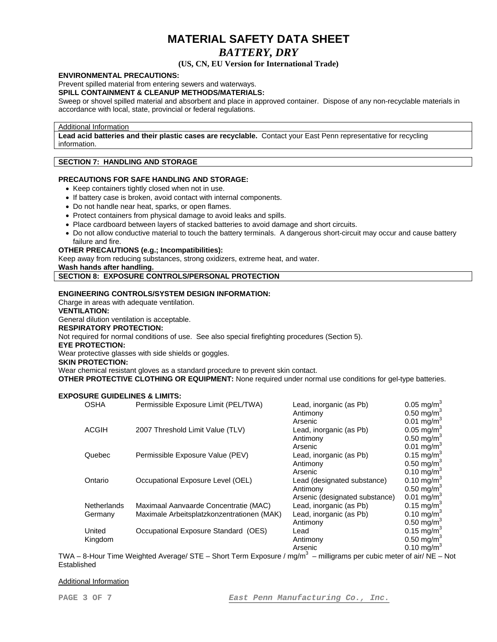## *BATTERY, DRY*

## **(US, CN, EU Version for International Trade)**

## **ENVIRONMENTAL PRECAUTIONS:**

Prevent spilled material from entering sewers and waterways.

## **SPILL CONTAINMENT & CLEANUP METHODS/MATERIALS:**

Sweep or shovel spilled material and absorbent and place in approved container. Dispose of any non-recyclable materials in accordance with local, state, provincial or federal regulations.

## Additional Information

**Lead acid batteries and their plastic cases are recyclable.** Contact your East Penn representative for recycling information.

## **SECTION 7: HANDLING AND STORAGE**

## **PRECAUTIONS FOR SAFE HANDLING AND STORAGE:**

- Keep containers tightly closed when not in use.
- If battery case is broken, avoid contact with internal components.
- Do not handle near heat, sparks, or open flames.
- Protect containers from physical damage to avoid leaks and spills.
- Place cardboard between layers of stacked batteries to avoid damage and short circuits.
- Do not allow conductive material to touch the battery terminals. A dangerous short-circuit may occur and cause battery failure and fire.

## **OTHER PRECAUTIONS (e.g.; Incompatibilities):**

Keep away from reducing substances, strong oxidizers, extreme heat, and water.

**Wash hands after handling.** 

## **SECTION 8: EXPOSURE CONTROLS/PERSONAL PROTECTION**

## **ENGINEERING CONTROLS/SYSTEM DESIGN INFORMATION:**

Charge in areas with adequate ventilation.

## **VENTILATION:**

General dilution ventilation is acceptable.

## **RESPIRATORY PROTECTION:**

Not required for normal conditions of use. See also special firefighting procedures (Section 5).

## **EYE PROTECTION:**

Wear protective glasses with side shields or goggles.

## **SKIN PROTECTION:**

Wear chemical resistant gloves as a standard procedure to prevent skin contact.

**OTHER PROTECTIVE CLOTHING OR EQUIPMENT:** None required under normal use conditions for gel-type batteries.

## **EXPOSURE GUIDELINES & LIMITS:**

| <b>OSHA</b>        | Permissible Exposure Limit (PEL/TWA)       | Lead, inorganic (as Pb)        | $0.05$ mg/m <sup>3</sup> |
|--------------------|--------------------------------------------|--------------------------------|--------------------------|
|                    |                                            | Antimony                       | 0.50 mg/m <sup>3</sup>   |
|                    |                                            | Arsenic                        | 0.01 mg/m <sup>3</sup>   |
| <b>ACGIH</b>       | 2007 Threshold Limit Value (TLV)           | Lead, inorganic (as Pb)        | $0.05 \text{ mg/m}^3$    |
|                    |                                            | Antimony                       | $0.50 \text{ mg/m}^3$    |
|                    |                                            | Arsenic                        | $0.01$ mg/m <sup>3</sup> |
| Quebec             | Permissible Exposure Value (PEV)           | Lead, inorganic (as Pb)        | 0.15 mg/m <sup>3</sup>   |
|                    |                                            | Antimony                       | $0.50 \text{ mg/m}^3$    |
|                    |                                            | Arsenic                        | 0.10 mg/m <sup>3</sup>   |
| Ontario            | Occupational Exposure Level (OEL)          | Lead (designated substance)    | 0.10 mg/m <sup>3</sup>   |
|                    |                                            | Antimony                       | $0.50 \text{ mg/m}^3$    |
|                    |                                            | Arsenic (designated substance) | 0.01 mg/m <sup>3</sup>   |
| <b>Netherlands</b> | Maximaal Aanvaarde Concentratie (MAC)      | Lead, inorganic (as Pb)        | 0.15 mg/m <sup>3</sup>   |
| Germany            | Maximale Arbeitsplatzkonzentrationen (MAK) | Lead, inorganic (as Pb)        | $0.10 \text{ mg/m}^3$    |
|                    |                                            | Antimony                       | $0.50$ mg/m <sup>3</sup> |
| United             | Occupational Exposure Standard (OES)       | Lead                           | 0.15 mg/m <sup>3</sup>   |
| Kingdom            |                                            | Antimony                       | 0.50 mg/m <sup>3</sup>   |
|                    |                                            | Arsenic                        | $0.10$ mg/m <sup>3</sup> |

TWA – 8-Hour Time Weighted Average/ STE – Short Term Exposure / mg/m<sup>3</sup> – milligrams per cubic meter of air/ NE – Not Established

## Additional Information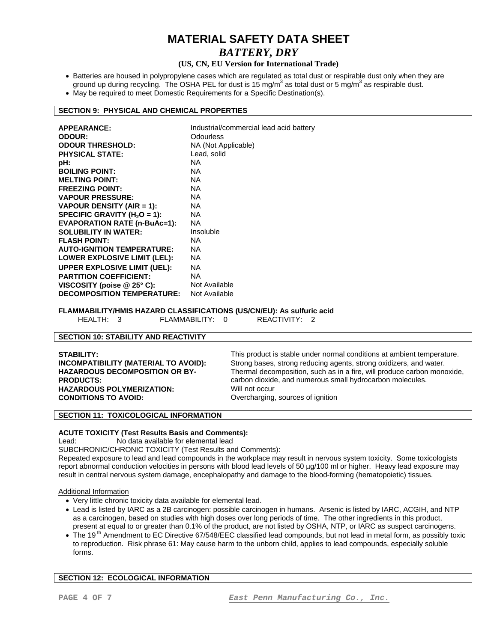## **MATERIAL SAFETY DATA SHEET**  *BATTERY, DRY*

## **(US, CN, EU Version for International Trade)**

- Batteries are housed in polypropylene cases which are regulated as total dust or respirable dust only when they are ground up during recycling. The OSHA PEL for dust is 15 mg/m<sup>3</sup> as total dust or 5 mg/m<sup>3</sup> as respirable dust.
- May be required to meet Domestic Requirements for a Specific Destination(s).

## **SECTION 9: PHYSICAL AND CHEMICAL PROPERTIES**

| <b>APPEARANCE:</b>                  | Industrial/commercial lead acid battery |
|-------------------------------------|-----------------------------------------|
| <b>ODOUR:</b>                       | Odourless                               |
| <b>ODOUR THRESHOLD:</b>             | NA (Not Applicable)                     |
| <b>PHYSICAL STATE:</b>              | Lead, solid                             |
| pH:                                 | NA.                                     |
| <b>BOILING POINT:</b>               | NA.                                     |
| <b>MELTING POINT:</b>               | NA.                                     |
| <b>FREEZING POINT:</b>              | NA.                                     |
| <b>VAPOUR PRESSURE:</b>             | NA.                                     |
| VAPOUR DENSITY (AIR = 1):           | NA.                                     |
| SPECIFIC GRAVITY ( $H_2O = 1$ ):    | NA.                                     |
| <b>EVAPORATION RATE (n-BuAc=1):</b> | NA.                                     |
| <b>SOLUBILITY IN WATER:</b>         | Insoluble                               |
| <b>FLASH POINT:</b>                 | NA.                                     |
| <b>AUTO-IGNITION TEMPERATURE:</b>   | NA.                                     |
| LOWER EXPLOSIVE LIMIT (LEL):        | NA.                                     |
| <b>UPPER EXPLOSIVE LIMIT (UEL):</b> | NA.                                     |
| <b>PARTITION COEFFICIENT:</b>       | NA                                      |
| VISCOSITY (poise $@25°$ C):         | Not Available                           |
| <b>DECOMPOSITION TEMPERATURE:</b>   | Not Available                           |

## **FLAMMABILITY/HMIS HAZARD CLASSIFICATIONS (US/CN/EU): As sulfuric acid**

HEALTH: 3 FLAMMABILITY: 0 REACTIVITY: 2

## **SECTION 10: STABILITY AND REACTIVITY**

## **SECTION 11: TOXICOLOGICAL INFORMATION**

## **ACUTE TOXICITY (Test Results Basis and Comments):**

Lead: No data available for elemental lead

SUBCHRONIC/CHRONIC TOXICITY (Test Results and Comments):

Repeated exposure to lead and lead compounds in the workplace may result in nervous system toxicity. Some toxicologists report abnormal conduction velocities in persons with blood lead levels of 50 µg/100 ml or higher. Heavy lead exposure may result in central nervous system damage, encephalopathy and damage to the blood-forming (hematopoietic) tissues.

## Additional Information

- Very little chronic toxicity data available for elemental lead.
- Lead is listed by IARC as a 2B carcinogen: possible carcinogen in humans. Arsenic is listed by IARC, ACGIH, and NTP as a carcinogen, based on studies with high doses over long periods of time. The other ingredients in this product, present at equal to or greater than 0.1% of the product, are not listed by OSHA, NTP, or IARC as suspect carcinogens.
- The 19<sup>th</sup> Amendment to EC Directive 67/548/EEC classified lead compounds, but not lead in metal form, as possibly toxic to reproduction. Risk phrase 61: May cause harm to the unborn child, applies to lead compounds, especially soluble forms.

## **SECTION 12: ECOLOGICAL INFORMATION**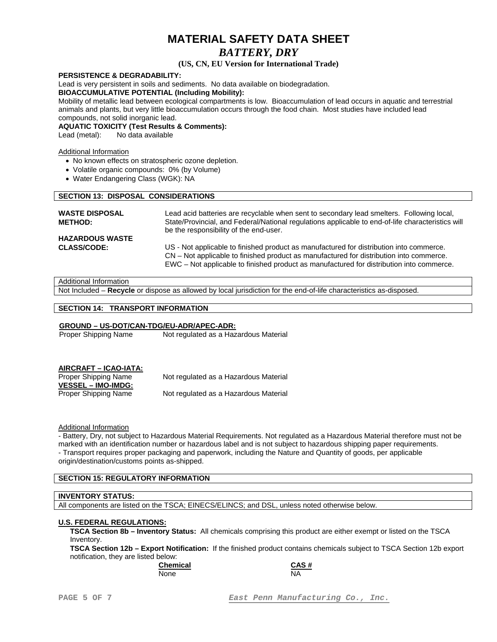## *BATTERY, DRY*

## **(US, CN, EU Version for International Trade)**

## **PERSISTENCE & DEGRADABILITY:**

Lead is very persistent in soils and sediments. No data available on biodegradation.

## **BIOACCUMULATIVE POTENTIAL (Including Mobility):**

Mobility of metallic lead between ecological compartments is low. Bioaccumulation of lead occurs in aquatic and terrestrial animals and plants, but very little bioaccumulation occurs through the food chain. Most studies have included lead compounds, not solid inorganic lead.

**AQUATIC TOXICITY (Test Results & Comments):** 

Lead (metal): No data available

## Additional Information

- No known effects on stratospheric ozone depletion.
- Volatile organic compounds: 0% (by Volume)
- Water Endangering Class (WGK): NA

## **SECTION 13: DISPOSAL CONSIDERATIONS**

| <b>WASTE DISPOSAL</b><br><b>METHOD:</b> | Lead acid batteries are recyclable when sent to secondary lead smelters. Following local,<br>State/Provincial, and Federal/National regulations applicable to end-of-life characteristics will<br>be the responsibility of the end-user.                                       |
|-----------------------------------------|--------------------------------------------------------------------------------------------------------------------------------------------------------------------------------------------------------------------------------------------------------------------------------|
| <b>HAZARDOUS WASTE</b>                  |                                                                                                                                                                                                                                                                                |
| <b>CLASS/CODE:</b>                      | US - Not applicable to finished product as manufactured for distribution into commerce.<br>CN – Not applicable to finished product as manufactured for distribution into commerce.<br>EWC – Not applicable to finished product as manufactured for distribution into commerce. |

## Additional Information

Not Included – **Recycle** or dispose as allowed by local jurisdiction for the end-of-life characteristics as-disposed.

## **SECTION 14: TRANSPORT INFORMATION**

## **GROUND – US-DOT/CAN-TDG/EU-ADR/APEC-ADR:**

Not regulated as a Hazardous Material

Proper Shipping Name Not regulated as a Hazardous Material

**VESSEL – IMO-IMDG:**

Proper Shipping Name Not regulated as a Hazardous Material

## Additional Information

- Battery, Dry, not subject to Hazardous Material Requirements. Not regulated as a Hazardous Material therefore must not be marked with an identification number or hazardous label and is not subject to hazardous shipping paper requirements. - Transport requires proper packaging and paperwork, including the Nature and Quantity of goods, per applicable

origin/destination/customs points as-shipped.

## **SECTION 15: REGULATORY INFORMATION**

## **INVENTORY STATUS:**

All components are listed on the TSCA; EINECS/ELINCS; and DSL, unless noted otherwise below.

## **U.S. FEDERAL REGULATIONS:**

**TSCA Section 8b – Inventory Status:** All chemicals comprising this product are either exempt or listed on the TSCA Inventory.

**TSCA Section 12b – Export Notification:** If the finished product contains chemicals subject to TSCA Section 12b export notification, they are listed below:

None NA

**Chemical CAS #**

**PAGE 5 OF 7** *East Penn Manufacturing Co., Inc.*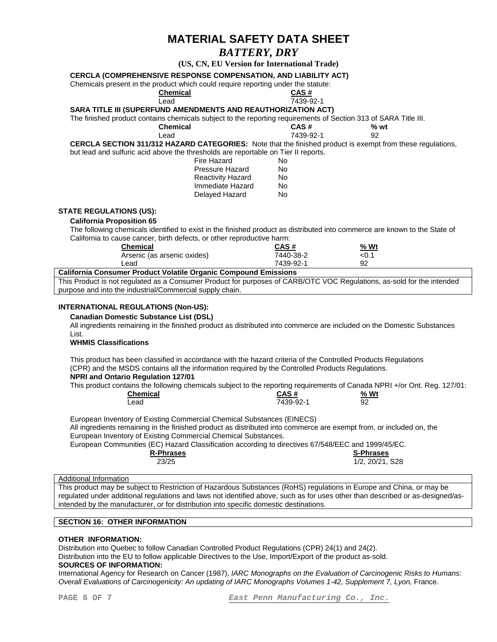## *BATTERY, DRY*

**(US, CN, EU Version for International Trade)** 

## **CERCLA (COMPREHENSIVE RESPONSE COMPENSATION, AND LIABILITY ACT)**

Chemicals present in the product which could require reporting under the statute:

 **Chemical CAS #**

#### Lead 7439-92-1 **SARA TITLE III (SUPERFUND AMENDMENTS AND REAUTHORIZATION ACT)**

The finished product contains chemicals subject to the reporting requirements of Section 313 of SARA Title III.

 **Chemical CAS # % wt**  Lead 7439-92-1 92

**CERCLA SECTION 311/312 HAZARD CATEGORIES:** Note that the finished product is exempt from these regulations, but lead and sulfuric acid above the thresholds are reportable on Tier II reports.

| Fire Hazard              | No. |
|--------------------------|-----|
| <b>Pressure Hazard</b>   | No. |
| <b>Reactivity Hazard</b> | No. |
| Immediate Hazard         | No. |
| Delayed Hazard           | No. |
|                          |     |

## **STATE REGULATIONS (US):**

## **California Proposition 65**

 The following chemicals identified to exist in the finished product as distributed into commerce are known to the State of California to cause cancer, birth defects, or other reproductive harm:

| Chemical                    | CAS#      | % Wt |
|-----------------------------|-----------|------|
| Arsenic (as arsenic oxides) | 7440-38-2 | <0.1 |
| _ead                        | 7439-92-1 | 92   |

## **California Consumer Product Volatile Organic Compound Emissions**

This Product is not regulated as a Consumer Product for purposes of CARB/OTC VOC Regulations, as-sold for the intended purpose and into the industrial/Commercial supply chain.

## **INTERNATIONAL REGULATIONS (Non-US):**

 **Canadian Domestic Substance List (DSL)** 

 All ingredients remaining in the finished product as distributed into commerce are included on the Domestic Substances List.

## **WHMIS Classifications**

 This product has been classified in accordance with the hazard criteria of the Controlled Products Regulations (CPR) and the MSDS contains all the information required by the Controlled Products Regulations.

## **NPRI and Ontario Regulation 127/01**

This product contains the following chemicals subject to the reporting requirements of Canada NPRI +/or Ont. Reg. 127/01:

| <b>Chemical</b> | <b>CAS#</b> | Wt<br>%           |
|-----------------|-------------|-------------------|
| _ead            | 7439-92-1   | ۵2<br>ັ<br>$\sim$ |

European Inventory of Existing Commercial Chemical Substances (EINECS)

 All ingredients remaining in the finished product as distributed into commerce are exempt from, or included on, the European Inventory of Existing Commercial Chemical Substances.

 European Communities (EC) Hazard Classification according to directives 67/548/EEC and 1999/45/EC. R-Phrases S-Phrases and the set of the set of the set of the set of the set of the set of the set of the set of the set of the set of the set of the set of the set of the set of the set of the set of the set of the set of

| <b>⊰-Phrases</b> |  |
|------------------|--|
| 23/25            |  |

23/25 1/2, 20/21, S28

## Additional Information

This product may be subject to Restriction of Hazardous Substances (RoHS) regulations in Europe and China, or may be regulated under additional regulations and laws not identified above, such as for uses other than described or as-designed/asintended by the manufacturer, or for distribution into specific domestic destinations.

## **SECTION 16: OTHER INFORMATION**

## **OTHER INFORMATION:**

Distribution into Quebec to follow Canadian Controlled Product Regulations (CPR) 24(1) and 24(2).

Distribution into the EU to follow applicable Directives to the Use, Import/Export of the product as-sold.

## **SOURCES OF INFORMATION:**

International Agency for Research on Cancer (1987), *IARC Monographs on the Evaluation of Carcinogenic Risks to Humans: Overall Evaluations of Carcinogenicity: An updating of IARC Monographs Volumes 1-42, Supplement 7, Lyon,* France.